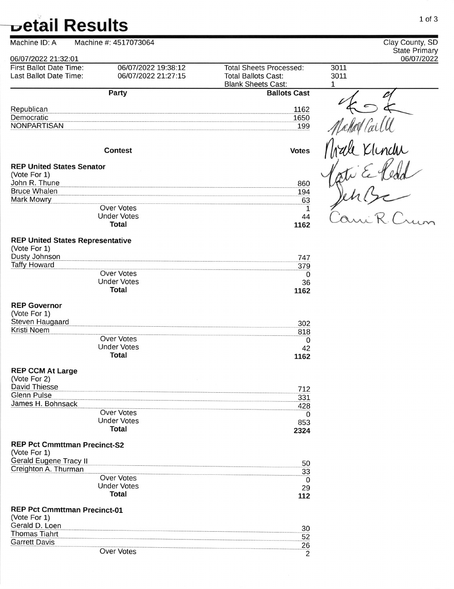| Machine ID: A                                           | Machine #: 4517073064              |                                                         | Clay County, SD                    |
|---------------------------------------------------------|------------------------------------|---------------------------------------------------------|------------------------------------|
| 06/07/2022 21:32:01                                     |                                    |                                                         | <b>State Primary</b><br>06/07/2022 |
| <b>First Ballot Date Time:</b>                          | 06/07/2022 19:38:12                | <b>Total Sheets Processed:</b>                          | 3011                               |
| Last Ballot Date Time:                                  | 06/07/2022 21:27:15                | <b>Total Ballots Cast:</b><br><b>Blank Sheets Cast:</b> | 3011<br>1                          |
|                                                         | <b>Party</b>                       | <b>Ballots Cast</b>                                     |                                    |
|                                                         |                                    |                                                         |                                    |
| Republican<br>Democratic                                |                                    | 1162<br>1650                                            |                                    |
| <b>NONPARTISAN</b>                                      |                                    | 199                                                     |                                    |
|                                                         |                                    |                                                         |                                    |
|                                                         | <b>Contest</b>                     | <b>Votes</b>                                            |                                    |
| <b>REP United States Senator</b>                        |                                    |                                                         |                                    |
| (Vote For 1)                                            |                                    |                                                         |                                    |
| John R. Thune                                           |                                    | 860                                                     |                                    |
| <b>Bruce Whalen</b>                                     |                                    | 194                                                     |                                    |
| Mark Mowry                                              | <b>Over Votes</b>                  | 63                                                      |                                    |
|                                                         | <b>Under Votes</b>                 | 1<br>44                                                 |                                    |
|                                                         | <b>Total</b>                       | 1162                                                    |                                    |
| <b>REP United States Representative</b><br>(Vote For 1) |                                    |                                                         |                                    |
| Dusty Johnson                                           |                                    | 747                                                     |                                    |
| <b>Taffy Howard</b>                                     |                                    | 379                                                     |                                    |
|                                                         | Over Votes                         | 0                                                       |                                    |
|                                                         | <b>Under Votes</b>                 | 36                                                      |                                    |
|                                                         | <b>Total</b>                       | 1162                                                    |                                    |
| <b>REP Governor</b>                                     |                                    |                                                         |                                    |
| (Vote For 1)                                            |                                    |                                                         |                                    |
| Steven Haugaard                                         |                                    | 302                                                     |                                    |
| Kristi Noem                                             |                                    | 818                                                     |                                    |
|                                                         | <b>Over Votes</b>                  | 0                                                       |                                    |
|                                                         | <b>Under Votes</b><br><b>Total</b> | 42                                                      |                                    |
|                                                         |                                    | 1162                                                    |                                    |
| <b>REP CCM At Large</b><br>(Vote For 2)                 |                                    |                                                         |                                    |
| <b>David Thiesse</b>                                    |                                    | 712                                                     |                                    |
| <b>Glenn Pulse</b>                                      |                                    | 331                                                     |                                    |
| James H. Bohnsack                                       |                                    | 428                                                     |                                    |
|                                                         | Over Votes                         | 0                                                       |                                    |
|                                                         | <b>Under Votes</b>                 | 853                                                     |                                    |
|                                                         | <b>Total</b>                       | 2324                                                    |                                    |
| <b>REP Pct Cmmttman Precinct-S2</b><br>(Vote For 1)     |                                    |                                                         |                                    |
| <b>Gerald Eugene Tracy II</b>                           |                                    | 50                                                      |                                    |
| Creighton A. Thurman                                    | <b>Over Votes</b>                  | 33                                                      |                                    |
|                                                         | <b>Under Votes</b>                 | 0                                                       |                                    |
|                                                         | <b>Total</b>                       | 29<br>112                                               |                                    |
| <b>REP Pct Cmmttman Precinct-01</b>                     |                                    |                                                         |                                    |
| (Vote For 1)                                            |                                    |                                                         |                                    |
| Gerald D. Loen<br><b>Thomas Tiahrt</b>                  |                                    | 30                                                      |                                    |
| <b>Garrett Davis</b>                                    |                                    | 52                                                      |                                    |
|                                                         | Over Votes                         | 26<br>$\mathcal{P}$                                     |                                    |

2